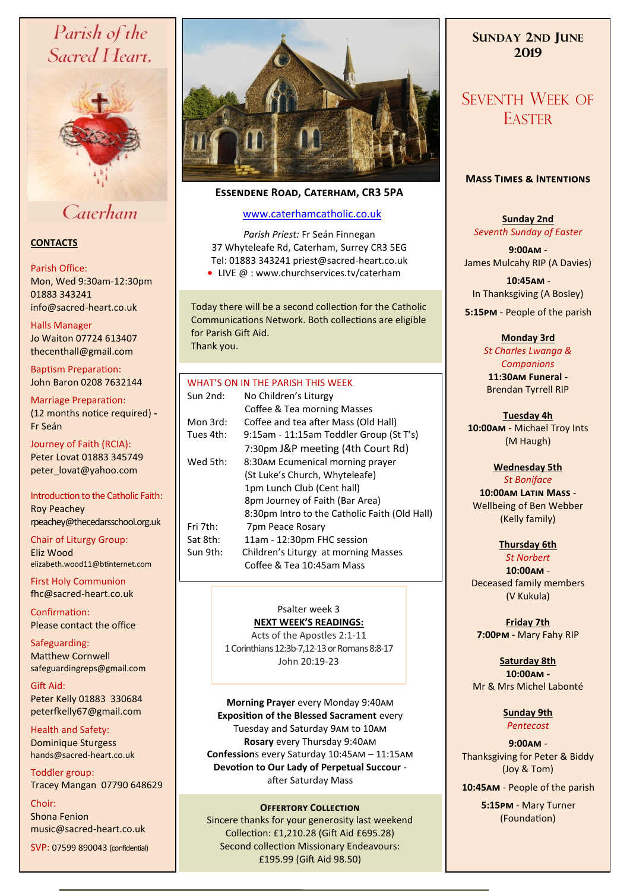# Parish of the Sacred Heart,



# Caterham

# **CONTACTS**

## Parish Office:

Mon, Wed 9:30am-12:30pm 01883 343241 info@sacred-heart.co.uk .

## Halls Manager

Jo Waiton 07724 613407 thecenthall@gmail.com

Baptism Preparation: John Baron 0208 7632144

Marriage Preparation: (12 months notice required) **-** Fr Seán

Journey of Faith (RCIA): Peter Lovat 01883 345749 peter\_lovat@yahoo.com

Introduction to the Catholic Faith: Roy Peachey rpeachey@thecedarsschool.org.uk

Chair of Liturgy Group: Eliz Wood elizabeth.wood11@btinternet.com

First Holy Communion fhc@sacred-heart.co.uk

Confirmation: Please contact the office

Safeguarding: Matthew Cornwell safeguardingreps@gmail.com

Gift Aid: Peter Kelly 01883 330684 peterfkelly67@gmail.com

Health and Safety: Dominique Sturgess hands@sacred-heart.co.uk

Toddler group: Tracey Mangan 07790 648629

Choir: Shona Fenion music@sacred-heart.co.uk

SVP: 07599 890043 (confidential)



# **Essendene Road, Caterham, CR3 5PA**

# [www.caterhamcatholic.co.uk](http://Www.caterhamcatholic.co.uk)

*Parish Priest:* Fr Seán Finnegan 37 Whyteleafe Rd, Caterham, Surrey CR3 5EG Tel: 01883 343241 priest@sacred-heart.co.uk

● LIVE @ : www.churchservices.tv/caterham

Today there will be a second collection for the Catholic Communications Network. Both collections are eligible for Parish Gift Aid. Thank you.

| WHAT'S ON IN THE PARISH THIS WEEK. |                                               |
|------------------------------------|-----------------------------------------------|
| Sun 2nd:                           | No Children's Liturgy                         |
|                                    | Coffee & Tea morning Masses                   |
| Mon 3rd:                           | Coffee and tea after Mass (Old Hall)          |
| Tues 4th:                          | 9:15am - 11:15am Toddler Group (St T's)       |
|                                    | 7:30pm J&P meeting (4th Court Rd)             |
| Wed 5th:                           | 8:30AM Ecumenical morning prayer              |
|                                    | (St Luke's Church, Whyteleafe)                |
|                                    | 1pm Lunch Club (Cent hall)                    |
|                                    | 8pm Journey of Faith (Bar Area)               |
|                                    | 8:30pm Intro to the Catholic Faith (Old Hall) |
| Fri 7th:                           | 7pm Peace Rosary                              |
| Sat 8th:                           | 11am - 12:30pm FHC session                    |
| Sun 9th:                           | Children's Liturgy at morning Masses          |
|                                    | Coffee & Tea 10:45am Mass                     |
|                                    |                                               |

### Psalter week 3 **NEXT WEEK'S READINGS:**

Acts of the Apostles 2:1-11 1 Corinthians 12:3b-7,12-13 or Romans 8:8-17 John 20:19-23

**Morning Prayer** every Monday 9:40am **Exposition of the Blessed Sacrament** every Tuesday and Saturday 9am to 10am **Rosary** every Thursday 9:40am **Confession**s every Saturday 10:45am – 11:15am **Devotion to Our Lady of Perpetual Succour**  after Saturday Mass

# **OFFERTORY COLLECTION**

Sincere thanks for your generosity last weekend Collection: £1,210.28 (Gift Aid £695.28) Second collection Missionary Endeavours: £195.99 (Gift Aid 98.50)

# **SUNDAY 2ND JUNE 2019**

# SEVENTH WEEK OF **EASTER**

# **Mass Times & Intentions**

**Sunday 2nd** *Seventh Sunday of Easter*

**9:00am** - James Mulcahy RIP (A Davies)

.**10:45am** - In Thanksgiving (A Bosley)

.**5:15pm** - People of the parish

## **Monday 3rd**

*St Charles Lwanga & Companions* **11:30am Funeral -**  Brendan Tyrrell RIP

**Tuesday 4h 10:00am** - Michael Troy Ints (M Haugh)

### **Wednesday 5th** *St Boniface*

**10:00am Latin Mass** - Wellbeing of Ben Webber (Kelly family)

# **Thursday 6th**

*St Norbert* **10:00am** - Deceased family members (V Kukula)

**Friday 7th 7:00pm -** Mary Fahy RIP

# **Saturday 8th**

**10:00am -**  Mr & Mrs Michel Labonté

# **Sunday 9th** *Pentecost*

**9:00am** - Thanksgiving for Peter & Biddy (Joy & Tom)

.**10:45am** - People of the parish

.**5:15pm** - Mary Turner (Foundation)